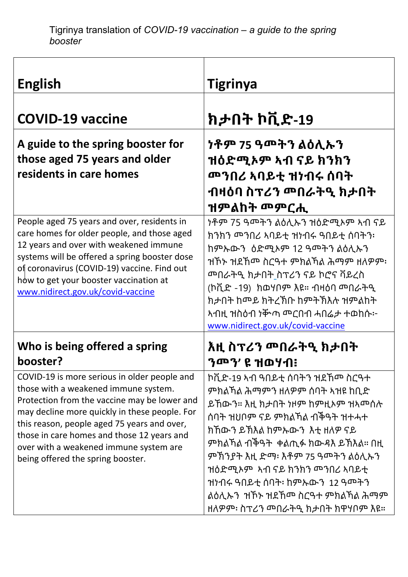| <b>English</b>                                                                                                                                                                                                                                                                                                                                                    | <b>Tigrinya</b>                                                                                                                                                                                                                                                                                                                     |
|-------------------------------------------------------------------------------------------------------------------------------------------------------------------------------------------------------------------------------------------------------------------------------------------------------------------------------------------------------------------|-------------------------------------------------------------------------------------------------------------------------------------------------------------------------------------------------------------------------------------------------------------------------------------------------------------------------------------|
| <b>COVID-19 vaccine</b>                                                                                                                                                                                                                                                                                                                                           | ክታበት ኮቪድ-19                                                                                                                                                                                                                                                                                                                         |
| A guide to the spring booster for<br>those aged 75 years and older<br>residents in care homes                                                                                                                                                                                                                                                                     | <u>ነቶም 75 ዓመትን ልዕሊኡን</u><br>ዝዕድሚኦም ኣብ ናይ ክንክን<br><u> መንበሪ አባይቲ ዝነብሩ ሰባት</u><br>ብዛዕባ ስፕሪን መበራትዒ ክታበት<br>ዝምልከት መምርሒ                                                                                                                                                                                                                   |
| People aged 75 years and over, residents in<br>care homes for older people, and those aged<br>12 years and over with weakened immune<br>systems will be offered a spring booster dose<br>of coronavirus (COVID-19) vaccine. Find out<br>how to get your booster vaccination at<br>www.nidirect.gov.uk/covid-vaccine                                               | ነቶም 75 ዓመትን ልዕሊኡን ዝዕድሚኦም ኣብ ናይ<br>ክንክን መንበሪ አባይቲ ዝነብሩ ዓበይቲ ሰባትን፡<br>ከምኡውን ዕድሚኦም 12 ዓመትን ልዕሊኡን<br>ዝኾኑ ዝደኸሙ ስርዓተ ምክልኻል ሕማም ዘለዎም፡<br>(ኮቪድ -19) ክወሃቦም እዩ። ብዛዕባ መበራትዒ<br>ክታበት ከጦይ ክትረኽቡ ከምትኽእሉ ዝምልከት<br>www.nidirect.gov.uk/covid-vaccine                                                                                                |
| Who is being offered a spring<br>booster?                                                                                                                                                                                                                                                                                                                         | እዚ ስፕሪን መበራትዒ ክታበት<br>ንጦን' ዩ ዝወሃብ፧                                                                                                                                                                                                                                                                                                  |
| COVID-19 is more serious in older people and<br>those with a weakened immune system.<br>Protection from the vaccine may be lower and<br>may decline more quickly in these people. For<br>this reason, people aged 75 years and over,<br>those in care homes and those 12 years and<br>over with a weakened immune system are<br>being offered the spring booster. | ኮቪድ-19 ኣብ ዓበይቲ ሰባትን ዝደኸሙ ስርዓተ<br>ምክልኻል ሕማምን ዘለዎም ሰባት ኣዝዩ ከቢድ<br>ይኸውን። እዚ ክታበት ነዞም ከምዚኦም ዝኣሞሰሉ<br>ሰባት ዝህቦም ናይ ምክልኻል ብችዓት ዝተሓተ<br>ክኸውን ይኽእል ከምኡውን  እቲ ዘለዎ ናይ<br>ምክልኻል ብችዓት  ቀልጢፉ ክውዳእ ይኽእል። በዚ<br>ምኽንያት እዚ ድማ፡ እቶም 75 ዓመትን ልዕሊኡን<br>ዝነብሩ ዓበይቲ ሰባት፡ ከምኡውን 12 ዓመትን<br>ልዕሊኡን  ዝኾኑ ዝደኸሞ ስርዓተ ምክልኻል ሕማም<br>ዘለዎም፡ ስፕሪን መበራትዒ ክታበት ክዋሃቦም እዩ። |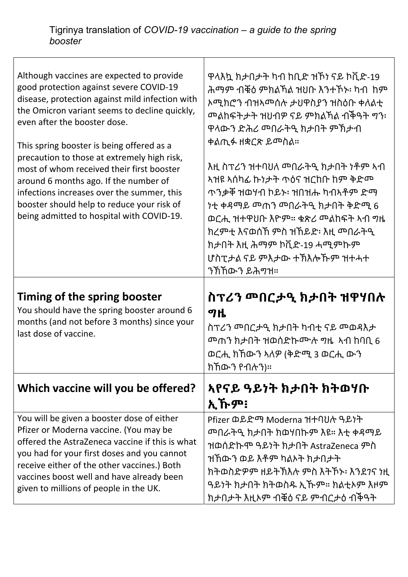Г

| Although vaccines are expected to provide<br>good protection against severe COVID-19<br>disease, protection against mild infection with<br>the Omicron variant seems to decline quickly,<br>even after the booster dose.<br>This spring booster is being offered as a<br>precaution to those at extremely high risk,<br>most of whom received their first booster<br>around 6 months ago. If the number of<br>infections increases over the summer, this<br>booster should help to reduce your risk of<br>being admitted to hospital with COVID-19. | ዋላእኳ ክታበታት ካብ ከቢድ ዝኾነ ናይ ኮቪድ-19<br>ሕማም ብቒዕ ምክልኻል ዝህቡ እንተኾኑ፡ ካብ ከም<br>ኦሚክሮን ብዝኣሞሰሉ ታህዋስያን ዝስዕቡ ቀለልቲ<br>ዋላውን ድሕሪ መበራትዒ ክታበት ምኽታብ<br>ቀልጢፉ ዘቋርጽ ይመስል።<br>እዚ ስፕሪን ዝተባህለ  ጣበራትዒ ክታበት ነቶም ኣብ<br>ኣዝዩ ኣሰካፊ ኩነታት ጥዕና ዝርከቡ ከም ቅድሞ<br><u> ጥንቃቐ ዝወሃብ ኮይኑ፡ ዝበዝሑ ካብኣቶም ድማ</u><br>ክረምቲ እናወሰኸ ምስ ዝኸይድ፡ እዚ መበራትዒ<br>ክታበት እዚ ሕማም ኮቪድ-19 ሓሚምኩም<br>ሆስፒታል ናይ ምእታው ተኽእሎኹም ዝተሓተ<br><u>ን</u> ክኸውን ይሕማዝ። |
|-----------------------------------------------------------------------------------------------------------------------------------------------------------------------------------------------------------------------------------------------------------------------------------------------------------------------------------------------------------------------------------------------------------------------------------------------------------------------------------------------------------------------------------------------------|--------------------------------------------------------------------------------------------------------------------------------------------------------------------------------------------------------------------------------------------------------------------------------------------------------------------------------------------------------------------------------|
| Timing of the spring booster<br>You should have the spring booster around 6<br>months (and not before 3 months) since your<br>last dose of vaccine.                                                                                                                                                                                                                                                                                                                                                                                                 | ስፕሪን መበርታዒ ክታበት ዝዋሃበሉ<br>ግዜ<br><u>ወርሒ</u> ክኸውን ኣለዎ (ቅድሚ 3 ወርሒ ውን<br>ክኸውን የብሉን)።                                                                                                                                                                                                                                                                                                |
| Which vaccine will you be offered?                                                                                                                                                                                                                                                                                                                                                                                                                                                                                                                  | ኣየናይ ዓይነት ክታበት ክትወሃቡ<br>ኢኹም፧                                                                                                                                                                                                                                                                                                                                                   |
| You will be given a booster dose of either                                                                                                                                                                                                                                                                                                                                                                                                                                                                                                          |                                                                                                                                                                                                                                                                                                                                                                                |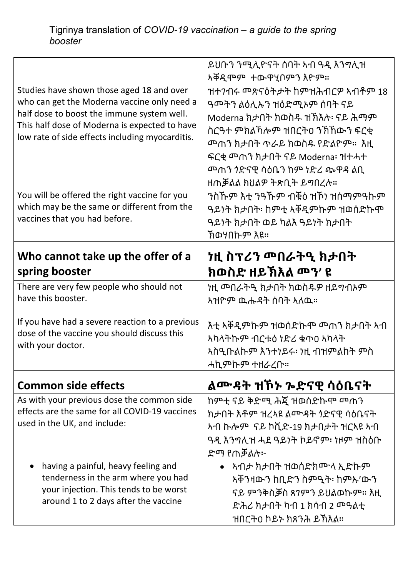|                                                                                                  | ይህቡን ንሚሊዮናት ሰባት ኣብ ዓዲ እንግሊዝ                     |
|--------------------------------------------------------------------------------------------------|-------------------------------------------------|
|                                                                                                  | አቐዲሞም ተውዋሂቦምን እዮም።                              |
| Studies have shown those aged 18 and over                                                        | ዝተንብሩ ሞጽናዕትታት ከምዝሕብርዎ ኣብቶም 18                   |
| who can get the Moderna vaccine only need a                                                      | ዓመትን ልዕሊኡን ዝዕድሚኦም ሰባት ናይ                        |
| half dose to boost the immune system well.                                                       | Moderna ክታበት ክወስዱ ዝኽእሉ፡ ናይ ሕማም                  |
| This half dose of Moderna is expected to have<br>low rate of side effects including myocarditis. | ስርዓተ ምክልኻሎም ዝበርት0 ንኽኸውን ፍርቂ                     |
|                                                                                                  | <u> <sup>መ</sup>ጠን ክታበት ጥራይ ክወስዱ የድልዮም።  እዚ</u> |
|                                                                                                  | ፍርቂ መጠን ክታበት ናይ Moderna፡ ዝተሓተ                   |
|                                                                                                  |                                                 |
|                                                                                                  | ዘጠቓልል ክህልዎ ትጽቢት ይግበረሉ።                          |
| You will be offered the right vaccine for you                                                    | ንስኹም እቲ ንዓኹም ብቑዕ ዝኾነ ዝሰማምዓኩም                    |
| which may be the same or different from the                                                      | ዓይነት ክታበት፡ ከምቲ ኣቐዲምኩም ዝወሰድኩሞ                    |
| vaccines that you had before.                                                                    | ዓይነት ክታበት ወይ ካልእ ዓይነት ክታበት                      |
|                                                                                                  | ኽወሃበኩም እዩ።                                      |
|                                                                                                  |                                                 |
| Who cannot take up the offer of a                                                                |                                                 |
| spring booster                                                                                   | ክወስድ ዘይኽእል መን' ዩ                                |
| There are very few people who should not                                                         |                                                 |
| have this booster.                                                                               | ኣዝዮም ዉሑዳት ሰባት ኣለዉ።                              |
|                                                                                                  |                                                 |
| If you have had a severe reaction to a previous                                                  | እቲ ኣቐዲምኩም ዝወሰድኩሞ መጠን ክታበት ኣብ                    |
| dose of the vaccine you should discuss this                                                      | አካላትኩም ብርቱዕ ነድሪ ቁጥዐ አካላት                        |
| with your doctor.                                                                                | አስዒቡልኩም እንተነይሩ፡ ነዚ ብዝምልከት ምስ                    |
|                                                                                                  | ሓኪምኩም ተዘራረቡ።                                    |
| <b>Common side effects</b>                                                                       | ልሙዳት ዝኾኑ ኈድናዊ ሳዕቤናት                             |
| As with your previous dose the common side                                                       | ከምቲ ናይ ቅድሚ ሕጇ ዝወሰድኩሞ መጠን                        |
| effects are the same for all COVID-19 vaccines                                                   | ክታበት እቶም ዝረኣዩ ልሙዳት  ንድናዊ ሳዕቤናት                  |
| used in the UK, and include:                                                                     | ኣብ ኩሎም  ናይ ኮቪድ-19 ክታበታት ዝርኣዩ ኣብ                 |
|                                                                                                  | ዓዲ እንግሊዝ ሓደ ዓይነት ኮይኖም፡ ነዞም ዝስዕቡ                 |
|                                                                                                  | ድማ የጠቓልሉ፦                                       |
| having a painful, heavy feeling and                                                              | $\bullet$ አብታ ክታበት ዝወሰድክሙላ ኢድኩም                 |
| tenderness in the arm where you had                                                              | ኣቐንዛውን ከቢድን ስምዒት፡ ከምኡ'ውን                        |
| your injection. This tends to be worst                                                           | ናይ ምንቅስቓስ ጸ7ምን ይህልወኩም። እዚ                       |
| around 1 to 2 days after the vaccine                                                             |                                                 |
|                                                                                                  |                                                 |
|                                                                                                  | ዝበርትዐ ኮይኑ ክጸንሕ ይኽእል።                            |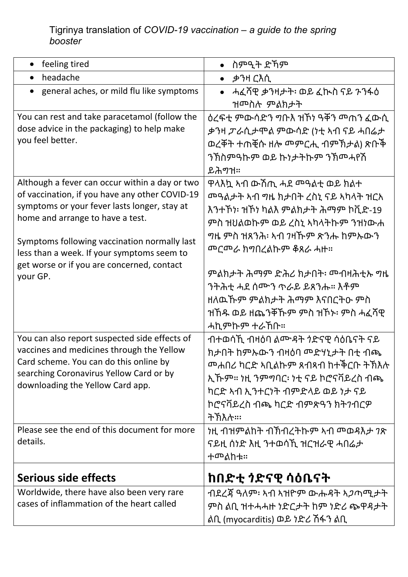## Tigrinya translation of *COVID-19 vaccination – a guide to the spring booster*

| feeling tired                                                                                                                                                                                                                                                                                                                                | ስምዒት ድኸም                                                                                                                                                                                                                                 |
|----------------------------------------------------------------------------------------------------------------------------------------------------------------------------------------------------------------------------------------------------------------------------------------------------------------------------------------------|------------------------------------------------------------------------------------------------------------------------------------------------------------------------------------------------------------------------------------------|
| headache                                                                                                                                                                                                                                                                                                                                     | • ቃንዛ ርእሲ                                                                                                                                                                                                                                |
| general aches, or mild flu like symptoms                                                                                                                                                                                                                                                                                                     | ሓፈሻዊ ቃንዛታት፡ ወይ ፈኲስ ናይ ንንፋዕ<br>ዝሞስሉ ምልክታት                                                                                                                                                                                                 |
| You can rest and take paracetamol (follow the<br>dose advice in the packaging) to help make<br>you feel better.                                                                                                                                                                                                                              | ቃንዛ ፖራሲታሞል ምውሳድ (ነቲ ኣብ ናይ ሓበሬታ<br>ወረቐት ተጠቒሱ ዘሎ <sup></sup> ምርሒ ብምኽታል) ጽቡች<br>ንኽስምዓኩም ወይ ኩነታትኩም ንኽመሓየሽ<br>ይሕማዝ።                                                                                                                           |
| Although a fever can occur within a day or two<br>of vaccination, if you have any other COVID-19<br>symptoms or your fever lasts longer, stay at<br>home and arrange to have a test.<br>Symptoms following vaccination normally last<br>less than a week. If your symptoms seem to<br>get worse or if you are concerned, contact<br>your GP. | ዋላእኳ ኣብ ውሽጢ ሓደ ሞዓልቲ ወይ ክልተ<br>እንተኾነ፡ ዝኾነ ካልእ ምልክታት ሕማም ኮቪድ-19<br>ምስ ዝህልወኩም ወይ ረስኒ ኣካላትኩም ንዝነውሐ<br><u> መርመራ ክግበረልኩም ቆጸራ ሓዙ።</u><br>ንትሕቲ ሓደ ሰሙን ጥራይ ይጸንሑ። እቶም<br>ዘለዉኹም ምልክታት ሕማም እናበርትዑ ምስ<br>ዝኸዱ ወይ ዘጨንቐኹም ምስ ዝኾኑ፡ ምስ ሓፈሻዊ<br>ሓኪምኩም ተራኸቡ። |
| You can also report suspected side effects of<br>vaccines and medicines through the Yellow<br>Card scheme. You can do this online by<br>searching Coronavirus Yellow Card or by<br>downloading the Yellow Card app.                                                                                                                          | ብተወሳኺ ብዛዕባ ልሙዳት  ንድናዊ ሳዕቤናት ናይ<br>ክታበት ከምኡውን ብዛዕባ ሞድሃኒታት በቲ ብጫ<br><u> <sup>መ</sup>ሐበሪ ካርድ ኣቢልኩም ጸብጻብ ከተቅርቡ ትኽእሉ</u><br>ኢኹም። ነዚ ንምግባር፡ ነቲ ናይ ኮሮናቫይረስ ብጫ<br>ካርድ ኣብ ኢንተርነት ብምድላይ ወይ ነታ ናይ<br>ኮሮናቫይረስ ብጫ ካርድ ብምጽዓን ክትንብርዎ<br>ትኽእሉ።፡          |
| Please see the end of this document for more<br>details.                                                                                                                                                                                                                                                                                     | ናይዚ ሰነድ እዚ ንተወሳኺ ዝርዝራዊ ሓበሬታ<br>ተመልከቱ።                                                                                                                                                                                                    |
| Serious side effects                                                                                                                                                                                                                                                                                                                         | ከበድቲ ንድናዊ ሳዕቤናት                                                                                                                                                                                                                          |
| Worldwide, there have also been very rare<br>cases of inflammation of the heart called                                                                                                                                                                                                                                                       | ብደረጃ ዓለም፡   ኣብ ኣዝዮም ውሑዳት ኣ <i>ጋ</i> ጣሚ <i>ታ</i> ት<br>ምስ ልቢ ዝተሓሓዙ ነድርታት ከም ነድሪ ጭዋዳታት<br>ልቢ (myocarditis) ወይ ነድሪ ሽፋን ልቢ                                                                                                                    |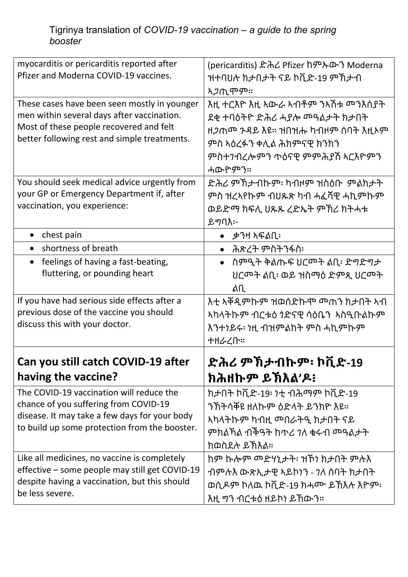| myocarditis or pericarditis reported after<br>Pfizer and Moderna COVID-19 vaccines.<br>These cases have been seen mostly in younger<br>men within several days after vaccination.<br>Most of these people recovered and felt<br>better following rest and simple treatments. | (pericarditis) ድሕሪ Pfizer ከምኡውን Moderna<br>ዝተባህሉ ክታበታት ናይ ኮቪድ-19 ምኽታብ<br><i>ኣጋ</i> ጢሞም።<br>እዚ ተርእዮ እዚ ኣውራ ኣብቶም ንኣሽቱ መንእሰያት<br>ደቂ ተባዕትዮ ድሕሪ ሓያሎ ሞዓልታት ክታበት<br>ዘ <i>ጋ</i> ጤሞ ንዳይ እዩ። ዝበዝሑ ካብዞም ሰባት እዚኦም<br>ምስ ኣዕረፉን ቀሊል ሕክምናዊ ክንክን<br>ምስተንብረሎምን ጥዕናዊ ምምሕያሽ ኣርእዮምን |
|------------------------------------------------------------------------------------------------------------------------------------------------------------------------------------------------------------------------------------------------------------------------------|-----------------------------------------------------------------------------------------------------------------------------------------------------------------------------------------------------------------------------------------------------------------|
| You should seek medical advice urgently from<br>your GP or Emergency Department if, after<br>vaccination, you experience:                                                                                                                                                    | ሓውዮምን።<br>ድሕሪ ምኽታብኩም፡ ካብዞም ዝስዕቡ  ምልክታት<br>ምስ ዝረኣየኩም ብህጹጽ ካብ ሓፈሻዊ ሓኪምኩም<br>ወይድማ ክፍሊ ህጹጹ ረድኤት ምኽሪ ክትሓቱ<br>ይማባእ፦                                                                                                                                                   |
| chest pain                                                                                                                                                                                                                                                                   | ቃንዛ አፍልቢ፡                                                                                                                                                                                                                                                       |
| shortness of breath                                                                                                                                                                                                                                                          | •   ሕጽረት ምስትንፋስ፡                                                                                                                                                                                                                                                |
| feelings of having a fast-beating,<br>$\bullet$<br>fluttering, or pounding heart                                                                                                                                                                                             | • ስምዒት ቅልጡፍ ሀርሞት ልቢ፡ ድግድግታ<br>ሀርሞት ልቢ፡ ወይ ዝስማዕ ድምጺ ሀርሞት<br>ልቢ                                                                                                                                                                                                   |
| If you have had serious side effects after a<br>previous dose of the vaccine you should<br>discuss this with your doctor.                                                                                                                                                    | <u>አካላትኩም ብርቱዕ  ንድናዊ ሳዕቤን  አስዒቡልኩም</u><br>እንተነይሩ፡ ነዚ ብዝምልከት ምስ ሓኪምኩም<br>ተዘራረቡ።                                                                                                                                                                                  |
| Can you still catch COVID-19 after                                                                                                                                                                                                                                           | ድሕሪ ምኽታብኩም፡ ኮቪድ-19                                                                                                                                                                                                                                              |
| having the vaccine?                                                                                                                                                                                                                                                          | ክሕዘኩም ይኽእል'ዶ፧                                                                                                                                                                                                                                                   |
| The COVID-19 vaccination will reduce the<br>chance of you suffering from COVID-19<br>disease. It may take a few days for your body<br>to build up some protection from the booster.                                                                                          | ክታበት ኮቪድ-19፡ ነቲ ብሕማም ኮቪድ-19<br>ንኽትሳቐዩ ዘለኩም ዕድላት ይንክዮ እዩ።<br>ምክልኻል ብችዓት ከጥሪ ንለ ቁሩብ መዓልታት<br>ክወስደሉ ይኽእል።                                                                                                                                                          |
| Like all medicines, no vaccine is completely<br>effective - some people may still get COVID-19<br>despite having a vaccination, but this should<br>be less severe.                                                                                                           | ብምሉእ ውጽኢታዊ ኣይኮነን - 7ለ ሰባት ክታበት<br>ወሲዶም ኮለዉ ኮቪድ-19 ክሓሙ ይኽእሉ እዮም፡<br>እዚ <i>ግ</i> ን ብርቱዕ  ዘይኮነ ይኸውን።                                                                                                                                                               |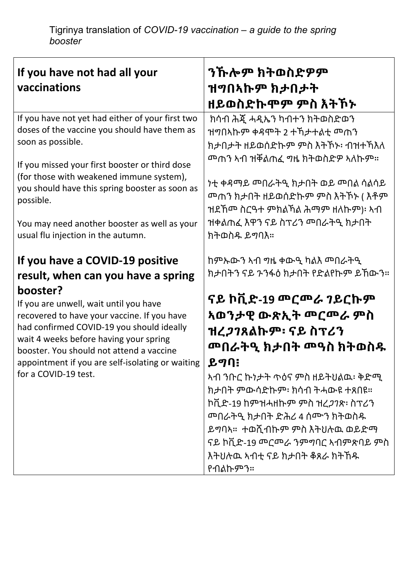| If you have not had all your<br>vaccinations                                                                                                                                                                                                                                                                                                                                              | ንኹሎም ክትወስድዎም<br>ዝግበኣኩም ክታበታት<br>ዘይወስድኩሞም ምስ እትኾኑ                                                                                                                                                                                                                                                                                                                                                                                      |
|-------------------------------------------------------------------------------------------------------------------------------------------------------------------------------------------------------------------------------------------------------------------------------------------------------------------------------------------------------------------------------------------|---------------------------------------------------------------------------------------------------------------------------------------------------------------------------------------------------------------------------------------------------------------------------------------------------------------------------------------------------------------------------------------------------------------------------------------|
| If you have not yet had either of your first two<br>doses of the vaccine you should have them as<br>soon as possible.<br>If you missed your first booster or third dose<br>(for those with weakened immune system),<br>you should have this spring booster as soon as<br>possible.<br>You may need another booster as well as your<br>usual flu injection in the autumn.                  | ክሳብ ሕጇ ሓዲኤን ካብተን ክትወስድወን<br>ዝግበኣኩም ቀዳሞት 2 ተኻታተልቲ መጠን<br>ክታበታት ዘይወሰድኩም ምስ እትኾኑ፡ ብዝተኻእለ<br>ዝደኸሙ ስርዓተ ምክልኻል ሕማም ዘለኩም)፡  አብ<br>ዝቀልጠፈ እዋን ናይ ስፕሪን መበራትዒ ክታበት<br>ክትወስዱ ይማባእ።                                                                                                                                                                                                                                                                |
| If you have a COVID-19 positive<br>result, when can you have a spring<br>booster?<br>If you are unwell, wait until you have<br>recovered to have your vaccine. If you have<br>had confirmed COVID-19 you should ideally<br>wait 4 weeks before having your spring<br>booster. You should not attend a vaccine<br>appointment if you are self-isolating or waiting<br>for a COVID-19 test. | ከምኡውን ኣብ ግዜ ቀውዒ ካልእ መበራትዒ<br>ክታበትን ናይ ንንፋዕ ክታበት የድልየኩም ይኸውን።<br>ናይ ኮቪድ-19 <b>መር</b> መራ ንይርኩም<br><u>አወንታዊ ውጽኢት መርመራ ምስ</u><br>ዝረ <i>ጋገ</i> ጸልኩም፡ ናይ ስፕሪን<br><b><sup>መበራትዒ ክታበት መዓስ ክትወስ</sup></b> ዱ<br>ይግባ፧<br><u>አብ ንቡር ኩነታት ጥዕና ምስ ዘይትህልዉ፡ ቅድሚ</u><br>ክታበት ምውሳድኩም፡ ክሳብ ትሓውዩ ተጸበዩ።<br>ኮቪድ-19 ከምዝሓዘኩም ምስ ዝረ <i>ጋገ</i> ጽ፡ ስፕሪን<br>ይማባኣ። ተወሺብኩም ምስ እትህሉዉ ወይድማ<br>ናይ ኮቪድ-19 መርመራ ንምግባር ኣብምጽባይ ምስ<br>እትህሉዉ ኣብቲ ናይ ክታበት ቆጸራ ክትኸዱ<br>የብልኩምን። |